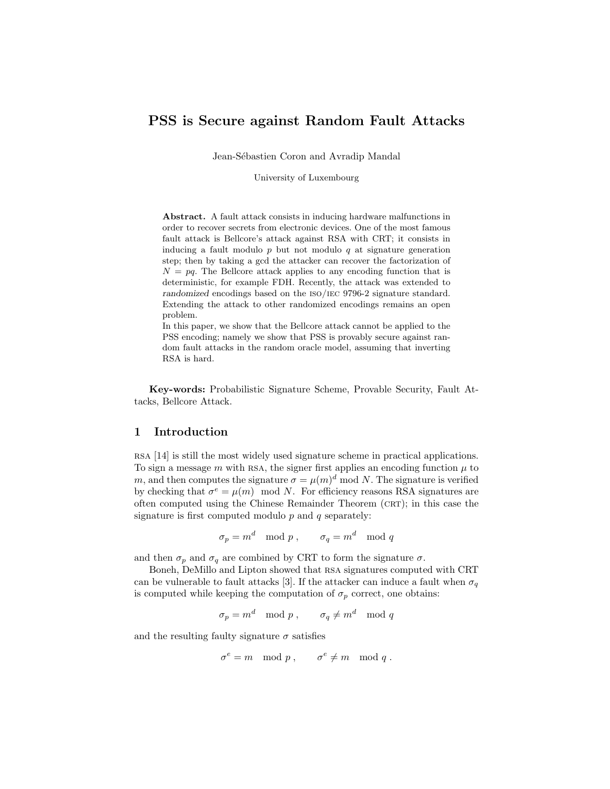# PSS is Secure against Random Fault Attacks

Jean-Sébastien Coron and Avradip Mandal

University of Luxembourg

Abstract. A fault attack consists in inducing hardware malfunctions in order to recover secrets from electronic devices. One of the most famous fault attack is Bellcore's attack against RSA with CRT; it consists in inducing a fault modulo  $p$  but not modulo  $q$  at signature generation step; then by taking a gcd the attacker can recover the factorization of  $N = pq$ . The Bellcore attack applies to any encoding function that is deterministic, for example FDH. Recently, the attack was extended to randomized encodings based on the iso/iec 9796-2 signature standard. Extending the attack to other randomized encodings remains an open problem.

In this paper, we show that the Bellcore attack cannot be applied to the PSS encoding; namely we show that PSS is provably secure against random fault attacks in the random oracle model, assuming that inverting RSA is hard.

Key-words: Probabilistic Signature Scheme, Provable Security, Fault Attacks, Bellcore Attack.

## 1 Introduction

rsa [14] is still the most widely used signature scheme in practical applications. To sign a message m with RSA, the signer first applies an encoding function  $\mu$  to m, and then computes the signature  $\sigma = \mu(m)^d \mod N$ . The signature is verified by checking that  $\sigma^e = \mu(m) \mod N$ . For efficiency reasons RSA signatures are often computed using the Chinese Remainder Theorem  $(CRT)$ ; in this case the signature is first computed modulo  $p$  and  $q$  separately:

$$
\sigma_p = m^d \mod p \;, \qquad \sigma_q = m^d \mod q
$$

and then  $\sigma_p$  and  $\sigma_q$  are combined by CRT to form the signature  $\sigma$ .

Boneh, DeMillo and Lipton showed that rsa signatures computed with CRT can be vulnerable to fault attacks [3]. If the attacker can induce a fault when  $\sigma_q$ is computed while keeping the computation of  $\sigma_p$  correct, one obtains:

 $\sigma_p = m^d \mod p \; , \qquad \sigma_q \neq m^d \mod q$ 

and the resulting faulty signature  $\sigma$  satisfies

$$
\sigma^e = m \mod p \;, \qquad \sigma^e \neq m \mod q \;.
$$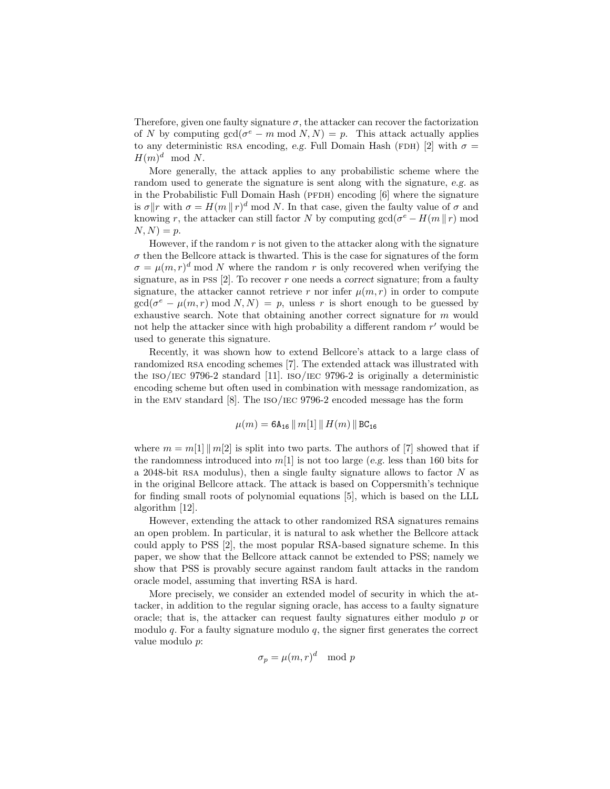Therefore, given one faulty signature  $\sigma$ , the attacker can recover the factorization of N by computing  $gcd(\sigma^e - m \mod N, N) = p$ . This attack actually applies to any deterministic RSA encoding, e.g. Full Domain Hash (FDH) [2] with  $\sigma =$  $H(m)^d \mod N$ .

More generally, the attack applies to any probabilistic scheme where the random used to generate the signature is sent along with the signature, e.g. as in the Probabilistic Full Domain Hash ( $PFDH$ ) encoding [6] where the signature is  $\sigma \|r$  with  $\sigma = H(m \| r)^d \mod N$ . In that case, given the faulty value of  $\sigma$  and knowing r, the attacker can still factor N by computing  $gcd(\sigma^e - H(m \mid r) \mod$  $N, N$ ) = p.

However, if the random  $r$  is not given to the attacker along with the signature  $\sigma$  then the Bellcore attack is thwarted. This is the case for signatures of the form  $\sigma = \mu(m, r)^d \mod N$  where the random r is only recovered when verifying the signature, as in PSS  $[2]$ . To recover r one needs a correct signature; from a faulty signature, the attacker cannot retrieve r nor infer  $\mu(m, r)$  in order to compute  $gcd(\sigma^e - \mu(m, r) \mod N, N) = p$ , unless r is short enough to be guessed by exhaustive search. Note that obtaining another correct signature for  $m$  would not help the attacker since with high probability a different random  $r'$  would be used to generate this signature.

Recently, it was shown how to extend Bellcore's attack to a large class of randomized RSA encoding schemes [7]. The extended attack was illustrated with the ISO/IEC 9796-2 standard [11]. ISO/IEC 9796-2 is originally a deterministic encoding scheme but often used in combination with message randomization, as in the emv standard [8]. The iso/iec 9796-2 encoded message has the form

$$
\mu(m) = \texttt{6A}_{\texttt{16}} \, \| \, m[1] \, \| \, H(m) \, \| \, \texttt{BC}_{\texttt{16}}
$$

where  $m = m[1] || m[2]$  is split into two parts. The authors of [7] showed that if the randomness introduced into  $m[1]$  is not too large (e.g. less than 160 bits for a 2048-bit RSA modulus), then a single faulty signature allows to factor  $N$  as in the original Bellcore attack. The attack is based on Coppersmith's technique for finding small roots of polynomial equations [5], which is based on the LLL algorithm [12].

However, extending the attack to other randomized RSA signatures remains an open problem. In particular, it is natural to ask whether the Bellcore attack could apply to PSS [2], the most popular RSA-based signature scheme. In this paper, we show that the Bellcore attack cannot be extended to PSS; namely we show that PSS is provably secure against random fault attacks in the random oracle model, assuming that inverting RSA is hard.

More precisely, we consider an extended model of security in which the attacker, in addition to the regular signing oracle, has access to a faulty signature oracle; that is, the attacker can request faulty signatures either modulo  $p$  or modulo  $q$ . For a faulty signature modulo  $q$ , the signer first generates the correct value modulo p:

$$
\sigma_p = \mu(m, r)^d \mod p
$$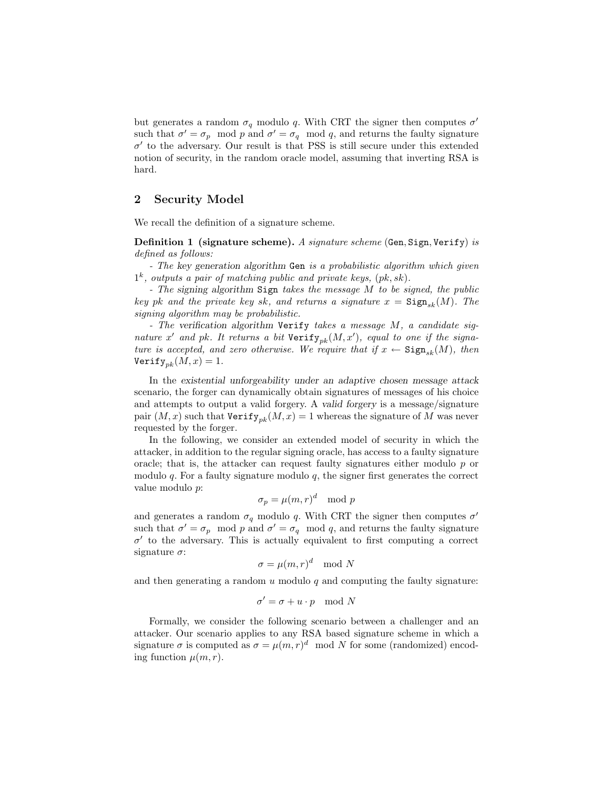but generates a random  $\sigma_q$  modulo q. With CRT the signer then computes  $\sigma'$ such that  $\sigma' = \sigma_p \mod p$  and  $\sigma' = \sigma_q \mod q$ , and returns the faulty signature  $\sigma'$  to the adversary. Our result is that PSS is still secure under this extended notion of security, in the random oracle model, assuming that inverting RSA is hard.

# 2 Security Model

We recall the definition of a signature scheme.

Definition 1 (signature scheme). *A signature scheme* (Gen, Sign, Verify) *is defined as follows:*

*- The* key generation algorithm Gen *is a probabilistic algorithm which given* 1 k *, outputs a pair of matching public and private keys,* (pk, sk)*.*

*- The* signing algorithm Sign *takes the message* M *to be signed, the public key* pk and the private key sk, and returns a signature  $x = \text{Sign}_{sk}(M)$ . The *signing algorithm may be probabilistic.*

*- The* verification algorithm Verify *takes a message* M*, a candidate sig*nature x' and pk. It returns a bit  $Verify_{pk}(M, x')$ , equal to one if the signa*ture is accepted, and zero otherwise. We require that if*  $x \leftarrow$  Sign<sub>sk</sub> $(M)$ *, then* Verify<sub>nk</sub> $(M, x) = 1$ .

In the existential unforgeability under an adaptive chosen message attack scenario, the forger can dynamically obtain signatures of messages of his choice and attempts to output a valid forgery. A valid forgery is a message/signature pair  $(M, x)$  such that  $Verify_{nk}(M, x) = 1$  whereas the signature of M was never requested by the forger.

In the following, we consider an extended model of security in which the attacker, in addition to the regular signing oracle, has access to a faulty signature oracle; that is, the attacker can request faulty signatures either modulo  $p$  or modulo  $q$ . For a faulty signature modulo  $q$ , the signer first generates the correct value modulo p:

$$
\sigma_p = \mu(m, r)^d \mod p
$$

and generates a random  $\sigma_q$  modulo q. With CRT the signer then computes  $\sigma'$ such that  $\sigma' = \sigma_p \mod p$  and  $\sigma' = \sigma_q \mod q$ , and returns the faulty signature  $\sigma'$  to the adversary. This is actually equivalent to first computing a correct signature  $\sigma$ :

$$
\sigma = \mu(m, r)^d \mod N
$$

and then generating a random  $u$  modulo  $q$  and computing the faulty signature:

$$
\sigma' = \sigma + u \cdot p \mod N
$$

Formally, we consider the following scenario between a challenger and an attacker. Our scenario applies to any RSA based signature scheme in which a signature  $\sigma$  is computed as  $\sigma = \mu(m, r)^d \mod N$  for some (randomized) encoding function  $\mu(m,r)$ .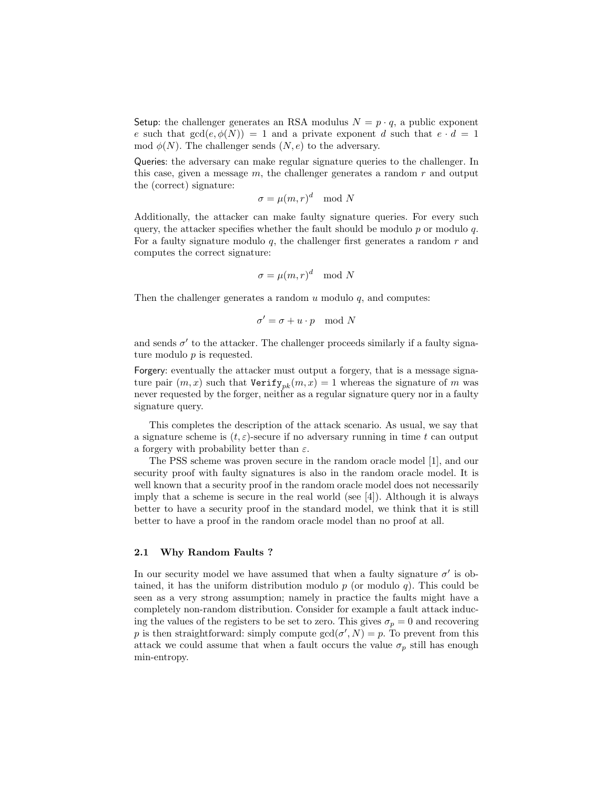Setup: the challenger generates an RSA modulus  $N = p \cdot q$ , a public exponent e such that  $gcd(e, \phi(N)) = 1$  and a private exponent d such that  $e \cdot d = 1$ mod  $\phi(N)$ . The challenger sends  $(N, e)$  to the adversary.

Queries: the adversary can make regular signature queries to the challenger. In this case, given a message  $m$ , the challenger generates a random  $r$  and output the (correct) signature:

$$
\sigma=\mu(m,r)^d\mod N
$$

Additionally, the attacker can make faulty signature queries. For every such query, the attacker specifies whether the fault should be modulo  $p$  or modulo  $q$ . For a faulty signature modulo  $q$ , the challenger first generates a random  $r$  and computes the correct signature:

$$
\sigma = \mu(m, r)^d \mod N
$$

Then the challenger generates a random  $u$  modulo  $q$ , and computes:

$$
\sigma' = \sigma + u \cdot p \mod N
$$

and sends  $\sigma'$  to the attacker. The challenger proceeds similarly if a faulty signature modulo  $p$  is requested.

Forgery: eventually the attacker must output a forgery, that is a message signature pair  $(m, x)$  such that  $Verify_{pk}(m, x) = 1$  whereas the signature of m was never requested by the forger, neither as a regular signature query nor in a faulty signature query.

This completes the description of the attack scenario. As usual, we say that a signature scheme is  $(t, \varepsilon)$ -secure if no adversary running in time t can output a forgery with probability better than  $\varepsilon$ .

The PSS scheme was proven secure in the random oracle model [1], and our security proof with faulty signatures is also in the random oracle model. It is well known that a security proof in the random oracle model does not necessarily imply that a scheme is secure in the real world (see [4]). Although it is always better to have a security proof in the standard model, we think that it is still better to have a proof in the random oracle model than no proof at all.

#### 2.1 Why Random Faults ?

In our security model we have assumed that when a faulty signature  $\sigma'$  is obtained, it has the uniform distribution modulo  $p$  (or modulo  $q$ ). This could be seen as a very strong assumption; namely in practice the faults might have a completely non-random distribution. Consider for example a fault attack inducing the values of the registers to be set to zero. This gives  $\sigma_p = 0$  and recovering p is then straightforward: simply compute  $gcd(\sigma', N) = p$ . To prevent from this attack we could assume that when a fault occurs the value  $\sigma_p$  still has enough min-entropy.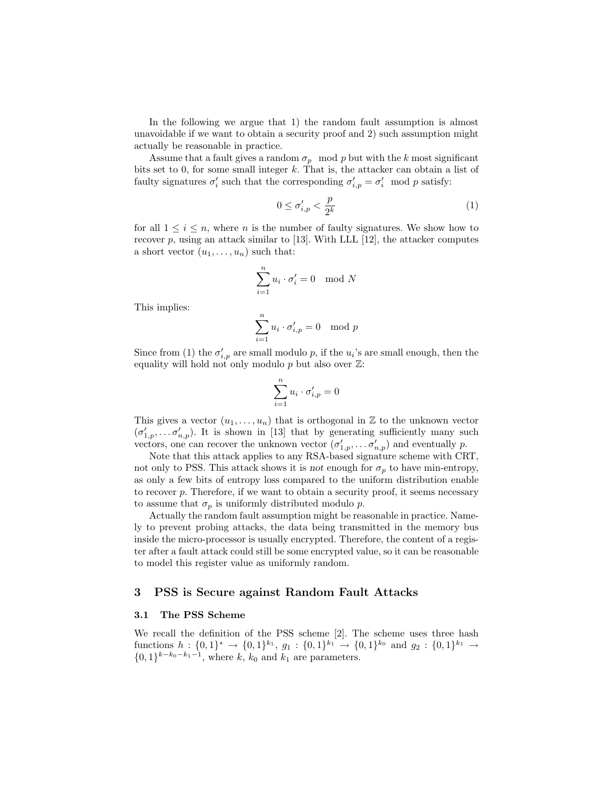In the following we argue that 1) the random fault assumption is almost unavoidable if we want to obtain a security proof and 2) such assumption might actually be reasonable in practice.

Assume that a fault gives a random  $\sigma_p \mod p$  but with the k most significant bits set to 0, for some small integer  $k$ . That is, the attacker can obtain a list of faulty signatures  $\sigma'_i$  such that the corresponding  $\sigma'_{i,p} = \sigma'_i \mod p$  satisfy:

$$
0 \le \sigma'_{i,p} < \frac{p}{2^k} \tag{1}
$$

for all  $1 \leq i \leq n$ , where *n* is the number of faulty signatures. We show how to recover  $p$ , using an attack similar to [13]. With LLL [12], the attacker computes a short vector  $(u_1, \ldots, u_n)$  such that:

$$
\sum_{i=1}^{n} u_i \cdot \sigma'_i = 0 \mod N
$$

This implies:

$$
\sum_{i=1}^{n} u_i \cdot \sigma'_{i,p} = 0 \mod p
$$

Since from (1) the  $\sigma'_{i,p}$  are small modulo p, if the  $u_i$ 's are small enough, then the equality will hold not only modulo  $p$  but also over  $\mathbb{Z}$ :

$$
\sum_{i=1}^n u_i \cdot \sigma_{i,p}' = 0
$$

This gives a vector  $(u_1, \ldots, u_n)$  that is orthogonal in  $\mathbb Z$  to the unknown vector  $(\sigma'_{1,p},\ldots,\sigma'_{n,p})$ . It is shown in [13] that by generating sufficiently many such vectors, one can recover the unknown vector  $(\sigma'_{1,p}, \ldots, \sigma'_{n,p})$  and eventually p.

Note that this attack applies to any RSA-based signature scheme with CRT, not only to PSS. This attack shows it is not enough for  $\sigma_p$  to have min-entropy, as only a few bits of entropy loss compared to the uniform distribution enable to recover  $p$ . Therefore, if we want to obtain a security proof, it seems necessary to assume that  $\sigma_p$  is uniformly distributed modulo p.

Actually the random fault assumption might be reasonable in practice. Namely to prevent probing attacks, the data being transmitted in the memory bus inside the micro-processor is usually encrypted. Therefore, the content of a register after a fault attack could still be some encrypted value, so it can be reasonable to model this register value as uniformly random.

## 3 PSS is Secure against Random Fault Attacks

## 3.1 The PSS Scheme

We recall the definition of the PSS scheme [2]. The scheme uses three hash functions  $h: \{0,1\}^* \to \{0,1\}^{k_1}, g_1: \{0,1\}^{k_1} \to \{0,1\}^{k_0}$  and  $g_2: \{0,1\}^{k_1} \to$  $\{0,1\}^{k-k_0-k_1-1}$ , where k,  $k_0$  and  $k_1$  are parameters.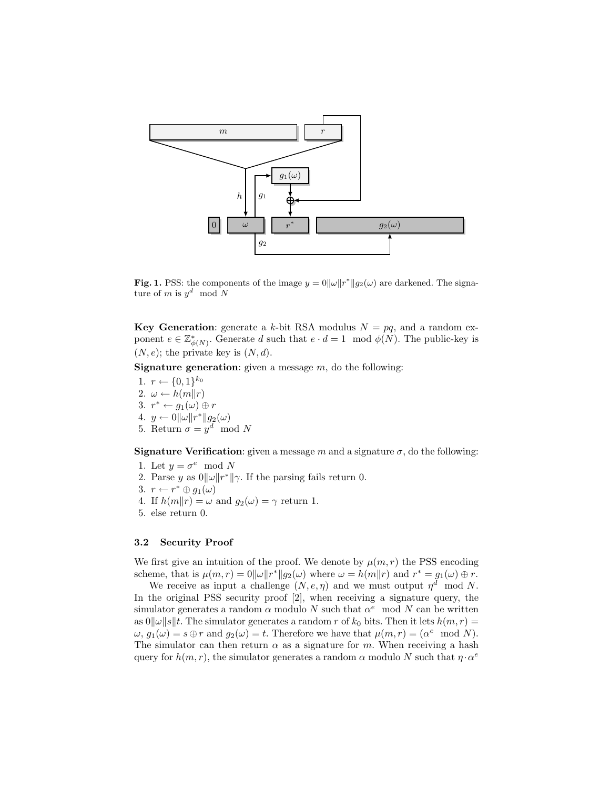

**Fig. 1.** PSS: the components of the image  $y = 0 \|\omega\| r^* \| g_2(\omega)$  are darkened. The signature of m is  $y^d \mod N$ 

**Key Generation:** generate a k-bit RSA modulus  $N = pq$ , and a random exponent  $e \in \mathbb{Z}_{d}^*$  $^*_{\phi(N)}$ . Generate d such that  $e \cdot d = 1 \mod \phi(N)$ . The public-key is  $(N, e)$ ; the private key is  $(N, d)$ .

**Signature generation:** given a message  $m$ , do the following:

- 1.  $r \leftarrow \{0, 1\}^{k_0}$ 2.  $\omega \leftarrow h(m||r)$ 3.  $r^* \leftarrow g_1(\omega) \oplus r$ 4.  $y \leftarrow 0 \|\omega\| r^* \| g_2(\omega)$
- 5. Return  $\sigma = y^d \mod N$

**Signature Verification**: given a message m and a signature  $\sigma$ , do the following:

- 1. Let  $y = \sigma^e \mod N$
- 2. Parse y as  $0||\omega||r^*||\gamma$ . If the parsing fails return 0.
- 3.  $r \leftarrow r^* \oplus g_1(\omega)$
- 4. If  $h(m||r) = \omega$  and  $g_2(\omega) = \gamma$  return 1.
- 5. else return 0.

# 3.2 Security Proof

We first give an intuition of the proof. We denote by  $\mu(m, r)$  the PSS encoding scheme, that is  $\mu(m,r) = 0 \|\omega\| r^*\| g_2(\omega)$  where  $\omega = h(m\|r)$  and  $r^* = g_1(\omega) \oplus r$ .

We receive as input a challenge  $(N, e, \eta)$  and we must output  $\eta^d$  mod N. In the original PSS security proof [2], when receiving a signature query, the simulator generates a random  $\alpha$  modulo N such that  $\alpha^e$  mod N can be written as  $0||\omega||s||t$ . The simulator generates a random r of  $k_0$  bits. Then it lets  $h(m, r) =$  $\omega, g_1(\omega) = s \oplus r$  and  $g_2(\omega) = t$ . Therefore we have that  $\mu(m,r) = (\alpha^e \mod N)$ . The simulator can then return  $\alpha$  as a signature for m. When receiving a hash query for  $h(m, r)$ , the simulator generates a random  $\alpha$  modulo N such that  $\eta \cdot \alpha^e$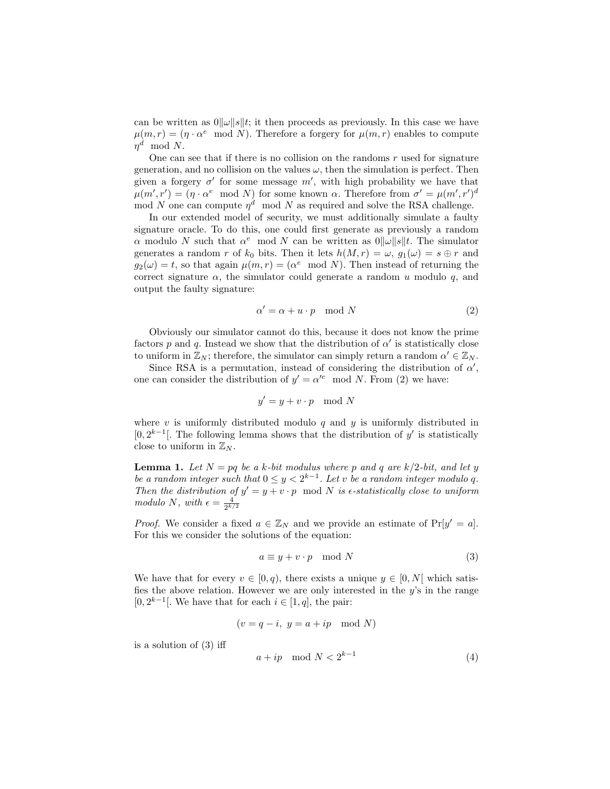can be written as  $0||\omega||s||t$ ; it then proceeds as previously. In this case we have  $\mu(m,r) = (\eta \cdot \alpha^e \mod N)$ . Therefore a forgery for  $\mu(m,r)$  enables to compute  $\eta^d \mod N$ .

One can see that if there is no collision on the randoms  $r$  used for signature generation, and no collision on the values  $\omega$ , then the simulation is perfect. Then given a forgery  $\sigma'$  for some message m', with high probability we have that  $\mu(m',r') = (\eta \cdot \alpha^e \mod N)$  for some known  $\alpha$ . Therefore from  $\sigma' = \mu(m',r')^d$ mod N one can compute  $\eta^d$  mod N as required and solve the RSA challenge.

In our extended model of security, we must additionally simulate a faulty signature oracle. To do this, one could first generate as previously a random  $\alpha$  modulo N such that  $\alpha^e$  mod N can be written as  $0||\omega||s||t$ . The simulator generates a random r of  $k_0$  bits. Then it lets  $h(M, r) = \omega$ ,  $g_1(\omega) = s \oplus r$  and  $g_2(\omega) = t$ , so that again  $\mu(m, r) = (\alpha^e \mod N)$ . Then instead of returning the correct signature  $\alpha$ , the simulator could generate a random u modulo q, and output the faulty signature:

$$
\alpha' = \alpha + u \cdot p \mod N \tag{2}
$$

Obviously our simulator cannot do this, because it does not know the prime factors p and q. Instead we show that the distribution of  $\alpha'$  is statistically close to uniform in  $\mathbb{Z}_N$ ; therefore, the simulator can simply return a random  $\alpha' \in \mathbb{Z}_N$ .

Since RSA is a permutation, instead of considering the distribution of  $\alpha'$ , one can consider the distribution of  $y' = \alpha'^e \mod N$ . From (2) we have:

$$
y' = y + v \cdot p \mod N
$$

where  $v$  is uniformly distributed modulo  $q$  and  $y$  is uniformly distributed in [0,  $2^{k-1}$ ]. The following lemma shows that the distribution of y' is statistically close to uniform in  $\mathbb{Z}_N$ .

**Lemma 1.** Let  $N = pq$  be a k-bit modulus where p and q are  $k/2$ -bit, and let y *be a random integer such that*  $0 \leq y < 2^{k-1}$ . Let v *be a random integer modulo* q. *Then the distribution of*  $y' = y + v \cdot p \mod N$  *is e-statistically close to uniform modulo N*, *with*  $\epsilon = \frac{4}{2^{k/2}}$ 

*Proof.* We consider a fixed  $a \in \mathbb{Z}_N$  and we provide an estimate of  $Pr[y' = a]$ . For this we consider the solutions of the equation:

$$
a \equiv y + v \cdot p \mod N \tag{3}
$$

We have that for every  $v \in [0, q)$ , there exists a unique  $y \in [0, N]$  which satisfies the above relation. However we are only interested in the  $y$ 's in the range [0,  $2^{k-1}$ ]. We have that for each  $i \in [1, q]$ , the pair:

$$
(v = q - i, y = a + ip \mod N)
$$

is a solution of (3) iff

$$
a + ip \mod N < 2^{k-1} \tag{4}
$$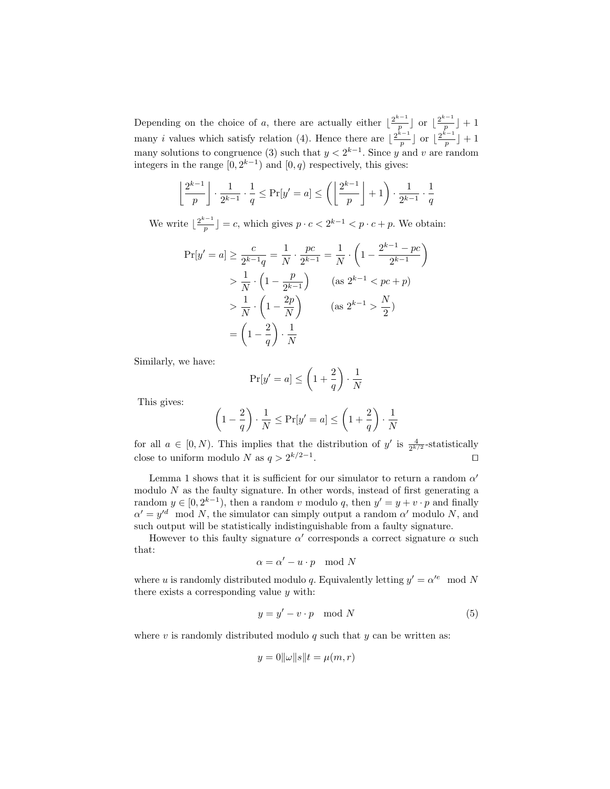Depending on the choice of a, there are actually either  $\lfloor \frac{2^{k-1}}{n} \rfloor$  $\frac{p^{k-1}}{p}$  or  $\lfloor \frac{2^{k-1}}{p} \rfloor$  $\left[\frac{1}{p}\right]+1$ many *i* values which satisfy relation (4). Hence there are  $\frac{2^{k-1}}{n}$  $\frac{p^{k-1}}{p}$  or  $\lfloor \frac{2^{k-1}}{p} \rfloor$  $\frac{1}{p}$  + 1 many solutions to congruence (3) such that  $y < 2^{k-1}$ . Since y and v are random integers in the range  $[0, 2^{k-1})$  and  $[0, q)$  respectively, this gives:

$$
\left\lfloor \frac{2^{k-1}}{p}\right\rfloor \cdot \frac{1}{2^{k-1}} \cdot \frac{1}{q} \le \Pr[y' = a] \le \left( \left\lfloor \frac{2^{k-1}}{p} \right\rfloor + 1 \right) \cdot \frac{1}{2^{k-1}} \cdot \frac{1}{q}
$$

We write  $\frac{2^{k-1}}{n}$  $\frac{p-1}{p}$  = c, which gives  $p \cdot c < 2^{k-1} < p \cdot c + p$ . We obtain:

$$
\Pr[y' = a] \ge \frac{c}{2^{k-1}q} = \frac{1}{N} \cdot \frac{pc}{2^{k-1}} = \frac{1}{N} \cdot \left(1 - \frac{2^{k-1} - pc}{2^{k-1}}\right) \\
> \frac{1}{N} \cdot \left(1 - \frac{p}{2^{k-1}}\right) \qquad (\text{as } 2^{k-1} < pc + p) \\
> \frac{1}{N} \cdot \left(1 - \frac{2p}{N}\right) \qquad (\text{as } 2^{k-1} > \frac{N}{2}) \\
= \left(1 - \frac{2}{q}\right) \cdot \frac{1}{N}
$$

Similarly, we have:

$$
\Pr[y'=a] \le \left(1 + \frac{2}{q}\right) \cdot \frac{1}{N}
$$

This gives:

$$
\left(1-\frac{2}{q}\right)\cdot\frac{1}{N}\leq \Pr[y'=a]\leq \left(1+\frac{2}{q}\right)\cdot\frac{1}{N}
$$

for all  $a \in [0, N)$ . This implies that the distribution of y' is  $\frac{4}{2^{k/2}}$ -statistically close to uniform modulo N as  $q > 2^{k/2-1}$ . ⊓⊔

Lemma 1 shows that it is sufficient for our simulator to return a random  $\alpha'$ modulo  $N$  as the faulty signature. In other words, instead of first generating a random  $y \in [0, 2^{k-1})$ , then a random v modulo q, then  $y' = y + v \cdot p$  and finally  $\alpha' = y'^d \mod N$ , the simulator can simply output a random  $\alpha'$  modulo N, and such output will be statistically indistinguishable from a faulty signature.

However to this faulty signature  $\alpha'$  corresponds a correct signature  $\alpha$  such that:

$$
\alpha = \alpha' - u \cdot p \mod N
$$

where u is randomly distributed modulo q. Equivalently letting  $y' = \alpha'^e \mod N$ there exists a corresponding value  $y$  with:

$$
y = y' - v \cdot p \mod N \tag{5}
$$

where  $v$  is randomly distributed modulo  $q$  such that  $y$  can be written as:

$$
y = 0||\omega||s||t = \mu(m, r)
$$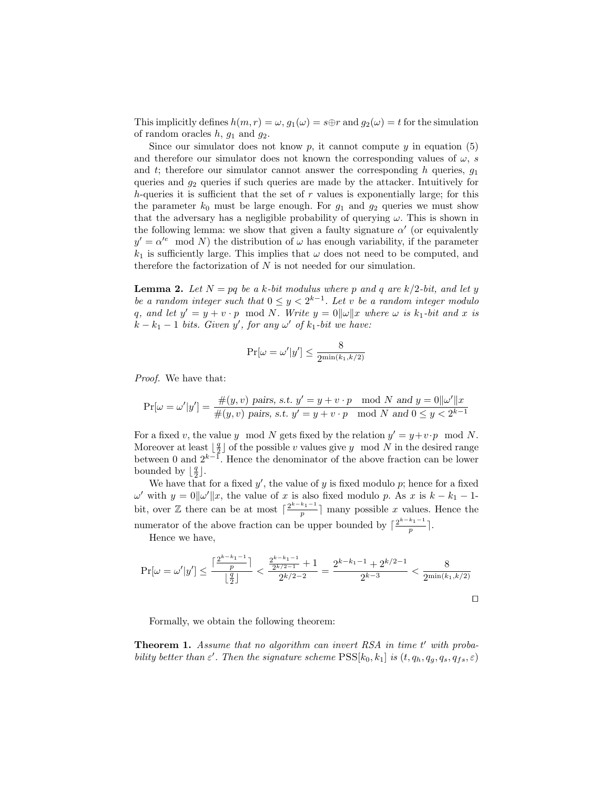This implicitly defines  $h(m, r) = \omega$ ,  $g_1(\omega) = s \oplus r$  and  $g_2(\omega) = t$  for the simulation of random oracles  $h, g_1$  and  $g_2$ .

Since our simulator does not know  $p$ , it cannot compute  $y$  in equation (5) and therefore our simulator does not known the corresponding values of  $\omega$ , s and t; therefore our simulator cannot answer the corresponding h queries,  $g_1$ queries and  $g_2$  queries if such queries are made by the attacker. Intuitively for h-queries it is sufficient that the set of  $r$  values is exponentially large; for this the parameter  $k_0$  must be large enough. For  $g_1$  and  $g_2$  queries we must show that the adversary has a negligible probability of querying  $\omega$ . This is shown in the following lemma: we show that given a faulty signature  $\alpha'$  (or equivalently  $y' = \alpha'^e \mod N$  the distribution of  $\omega$  has enough variability, if the parameter  $k_1$  is sufficiently large. This implies that  $\omega$  does not need to be computed, and therefore the factorization of  $N$  is not needed for our simulation.

**Lemma 2.** Let  $N = pq$  be a k-bit modulus where p and q are  $k/2$ -bit, and let y *be a random integer such that*  $0 \leq y < 2^{k-1}$ . Let v *be a random integer modulo* q, and let  $y' = y + v \cdot p \mod N$ . Write  $y = 0||\omega||x$  where  $\omega$  is  $k_1$ -bit and x is  $\vec{k} - k_1 - 1$  *bits. Given*  $\vec{y}'$ , for any  $\omega'$  of  $k_1$ -bit we have:

$$
\Pr[\omega = \omega'|y'] \leq \frac{8}{2^{\min(k_1,k/2)}}
$$

*Proof.* We have that:

$$
\Pr[\omega = \omega'|y'] = \frac{\#(y, v) \text{ pairs, s.t. } y' = y + v \cdot p \mod N \text{ and } y = 0 \|\omega'\|x}{\#(y, v) \text{ pairs, s.t. } y' = y + v \cdot p \mod N \text{ and } 0 \le y < 2^{k-1}}
$$

For a fixed v, the value y mod N gets fixed by the relation  $y' = y + v \cdot p \mod N$ . Moreover at least  $\lfloor \frac{q}{2} \rfloor$  of the possible v values give y mod N in the desired range between 0 and  $2^{k-1}$ . Hence the denominator of the above fraction can be lower bounded by  $\lfloor \frac{q}{2} \rfloor$ .

We have that for a fixed  $y'$ , the value of y is fixed modulo p; hence for a fixed  $ω'$  with  $y = 0$ ||ω'||x, the value of x is also fixed modulo p. As x is  $k - k<sub>1</sub> - 1$ bit, over  $\mathbb Z$  there can be at most  $\lceil \frac{2^{k-k_1-1}}{n} \rceil$  $\frac{m_1+1}{p}$  many possible x values. Hence the numerator of the above fraction can be upper bounded by  $\lceil \frac{2^{k-k_1-1}}{n} \rceil$  $\frac{1}{p}$ .

Hence we have,

$$
\Pr[\omega = \omega'|y'] \le \frac{\lceil \frac{2^{k-k_1-1}}{p} \rceil}{\lfloor \frac{q}{2} \rfloor} < \frac{\frac{2^{k-k_1-1}}{2^{k/2-1}} + 1}{2^{k/2-2}} = \frac{2^{k-k_1-1} + 2^{k/2-1}}{2^{k-3}} < \frac{8}{2^{\min(k_1, k/2)}} \tag{1}
$$

Formally, we obtain the following theorem:

Theorem 1. Assume that no algorithm can invert RSA in time t' with proba*bility better than*  $\varepsilon'$ . Then the signature scheme  $\text{PSS}[k_0, k_1]$  is  $(t, q_h, q_g, q_s, q_{fs}, \varepsilon)$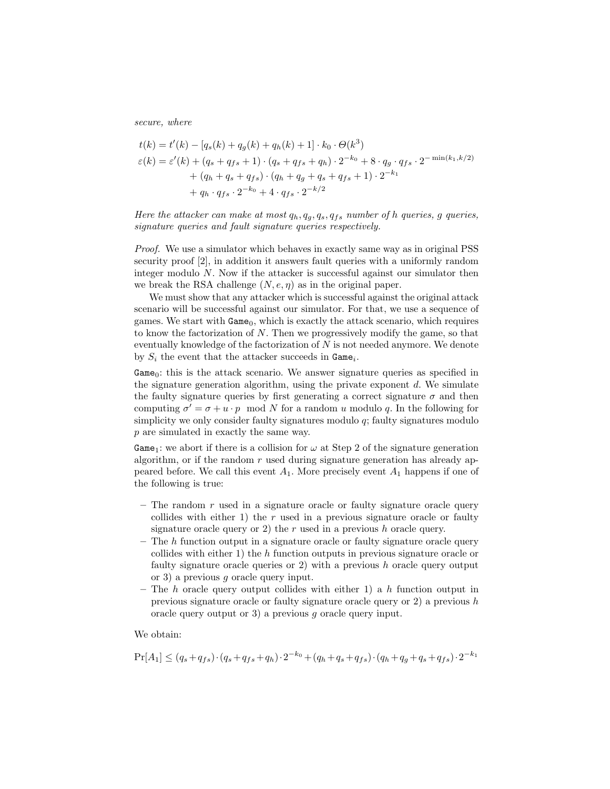*secure, where*

$$
t(k) = t'(k) - [q_s(k) + q_g(k) + q_h(k) + 1] \cdot k_0 \cdot \Theta(k^3)
$$
  
\n
$$
\varepsilon(k) = \varepsilon'(k) + (q_s + q_{fs} + 1) \cdot (q_s + q_{fs} + q_h) \cdot 2^{-k_0} + 8 \cdot q_g \cdot q_{fs} \cdot 2^{-\min(k_1, k/2)}
$$
  
\n
$$
+ (q_h + q_s + q_{fs}) \cdot (q_h + q_g + q_s + q_{fs} + 1) \cdot 2^{-k_1}
$$
  
\n
$$
+ q_h \cdot q_{fs} \cdot 2^{-k_0} + 4 \cdot q_{fs} \cdot 2^{-k/2}
$$

### *Here the attacker can make at most*  $q_h, q_g, q_s, q_{fs}$  *number of h queries, g queries, signature queries and fault signature queries respectively.*

*Proof.* We use a simulator which behaves in exactly same way as in original PSS security proof [2], in addition it answers fault queries with a uniformly random integer modulo N. Now if the attacker is successful against our simulator then we break the RSA challenge  $(N, e, \eta)$  as in the original paper.

We must show that any attacker which is successful against the original attack scenario will be successful against our simulator. For that, we use a sequence of games. We start with  $Game_0$ , which is exactly the attack scenario, which requires to know the factorization of  $N$ . Then we progressively modify the game, so that eventually knowledge of the factorization of  $N$  is not needed anymore. We denote by  $S_i$  the event that the attacker succeeds in  $\texttt{Game}_i$ .

 $Game_0$ : this is the attack scenario. We answer signature queries as specified in the signature generation algorithm, using the private exponent  $d$ . We simulate the faulty signature queries by first generating a correct signature  $\sigma$  and then computing  $\sigma' = \sigma + u \cdot p \mod N$  for a random u modulo q. In the following for simplicity we only consider faulty signatures modulo  $q$ ; faulty signatures modulo p are simulated in exactly the same way.

Game<sub>1</sub>: we abort if there is a collision for  $\omega$  at Step 2 of the signature generation algorithm, or if the random  $r$  used during signature generation has already appeared before. We call this event  $A_1$ . More precisely event  $A_1$  happens if one of the following is true:

- $-$  The random r used in a signature oracle or faulty signature oracle query collides with either 1) the  $r$  used in a previous signature oracle or faulty signature oracle query or 2) the r used in a previous h oracle query.
- $-$  The h function output in a signature oracle or faulty signature oracle query collides with either 1) the  $h$  function outputs in previous signature oracle or faulty signature oracle queries or 2) with a previous  $h$  oracle query output or 3) a previous g oracle query input.
- The h oracle query output collides with either 1) a h function output in previous signature oracle or faulty signature oracle query or  $2$ ) a previous h oracle query output or 3) a previous g oracle query input.

We obtain:

$$
\Pr[A_1] \le (q_s + q_{fs}) \cdot (q_s + q_{fs} + q_h) \cdot 2^{-k_0} + (q_h + q_s + q_{fs}) \cdot (q_h + q_g + q_s + q_{fs}) \cdot 2^{-k_1}
$$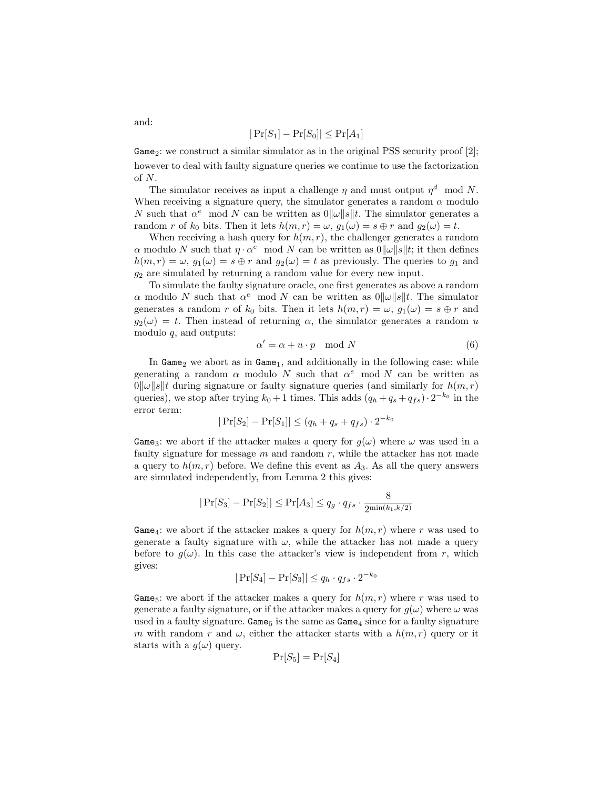$$
|\Pr[S_1] - \Pr[S_0]| \le \Pr[A_1]
$$

Game<sub>2</sub>: we construct a similar simulator as in the original PSS security proof [2]; however to deal with faulty signature queries we continue to use the factorization of  $N$ .

The simulator receives as input a challenge  $\eta$  and must output  $\eta^d$  mod N. When receiving a signature query, the simulator generates a random  $\alpha$  modulo N such that  $\alpha^e$  mod N can be written as  $0||\omega||s||t$ . The simulator generates a random r of  $k_0$  bits. Then it lets  $h(m, r) = \omega$ ,  $q_1(\omega) = s \oplus r$  and  $q_2(\omega) = t$ .

When receiving a hash query for  $h(m, r)$ , the challenger generates a random  $\alpha$  modulo N such that  $\eta \cdot \alpha^e$  mod N can be written as  $0||\omega||s||t$ ; it then defines  $h(m, r) = \omega$ ,  $g_1(\omega) = s \oplus r$  and  $g_2(\omega) = t$  as previously. The queries to  $g_1$  and  $g_2$  are simulated by returning a random value for every new input.

To simulate the faulty signature oracle, one first generates as above a random  $\alpha$  modulo N such that  $\alpha^e$  mod N can be written as  $0||\omega||s||t$ . The simulator generates a random r of  $k_0$  bits. Then it lets  $h(m, r) = \omega$ ,  $g_1(\omega) = s \oplus r$  and  $g_2(\omega) = t$ . Then instead of returning  $\alpha$ , the simulator generates a random u modulo q, and outputs:

$$
\alpha' = \alpha + u \cdot p \mod N \tag{6}
$$

In Game<sub>2</sub> we abort as in  $Game<sub>1</sub>$ , and additionally in the following case: while generating a random  $\alpha$  modulo N such that  $\alpha^e$  mod N can be written as  $\|\omega\|_{\mathcal{S}}\|t$  during signature or faulty signature queries (and similarly for  $h(m, r)$ ) queries), we stop after trying  $k_0 + 1$  times. This adds  $(q_h + q_s + q_{fs}) \cdot 2^{-k_0}$  in the error term:

$$
|\Pr[S_2] - \Pr[S_1]| \le (q_h + q_s + q_{fs}) \cdot 2^{-k_0}
$$

Game<sub>3</sub>: we abort if the attacker makes a query for  $g(\omega)$  where  $\omega$  was used in a faulty signature for message  $m$  and random  $r$ , while the attacker has not made a query to  $h(m, r)$  before. We define this event as  $A_3$ . As all the query answers are simulated independently, from Lemma 2 this gives:

$$
|\Pr[S_3]-\Pr[S_2]|\le \Pr[A_3]\le q_g\cdot q_{fs}\cdot \frac{8}{2^{\min(k_1,k/2)}}
$$

Game<sub>4</sub>: we abort if the attacker makes a query for  $h(m, r)$  where r was used to generate a faulty signature with  $\omega$ , while the attacker has not made a query before to  $g(\omega)$ . In this case the attacker's view is independent from r, which gives:

$$
|\Pr[S_4] - \Pr[S_3]| \le q_h \cdot q_{fs} \cdot 2^{-k_0}
$$

Game<sub>5</sub>: we abort if the attacker makes a query for  $h(m, r)$  where r was used to generate a faulty signature, or if the attacker makes a query for  $q(\omega)$  where  $\omega$  was used in a faulty signature. Game<sub>5</sub> is the same as  $Game_4$  since for a faulty signature m with random r and  $\omega$ , either the attacker starts with a  $h(m, r)$  query or it starts with a  $g(\omega)$  query.

$$
\Pr[S_5] = \Pr[S_4]
$$

and: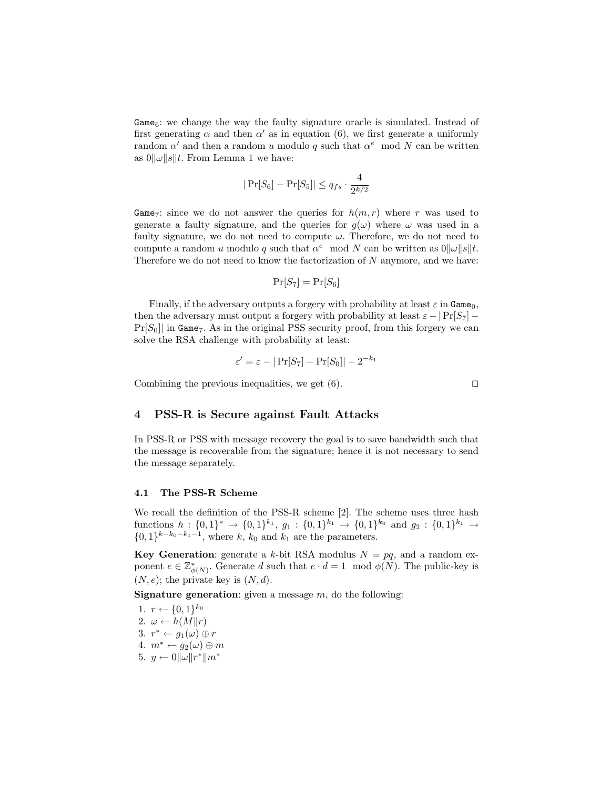Game<sub>6</sub>: we change the way the faulty signature oracle is simulated. Instead of first generating  $\alpha$  and then  $\alpha'$  as in equation (6), we first generate a uniformly random  $\alpha'$  and then a random u modulo q such that  $\alpha^e$  mod N can be written as  $0||\omega||s||t$ . From Lemma 1 we have:

$$
|\Pr[S_6] - \Pr[S_5]| \le q_{fs} \cdot \frac{4}{2^{k/2}}
$$

Game<sub>7</sub>: since we do not answer the queries for  $h(m, r)$  where r was used to generate a faulty signature, and the queries for  $g(\omega)$  where  $\omega$  was used in a faulty signature, we do not need to compute  $\omega$ . Therefore, we do not need to compute a random u modulo q such that  $\alpha^e \mod N$  can be written as  $0||\omega||s||t$ . Therefore we do not need to know the factorization of  $N$  anymore, and we have:

$$
\Pr[S_7] = \Pr[S_6]
$$

Finally, if the adversary outputs a forgery with probability at least  $\varepsilon$  in Game<sub>0</sub>, then the adversary must output a forgery with probability at least  $\varepsilon - |P_F[S_7] Pr[S_0]$  in Game<sub>7</sub>. As in the original PSS security proof, from this forgery we can solve the RSA challenge with probability at least:

$$
\varepsilon' = \varepsilon - |\Pr[S_7] - \Pr[S_0]| - 2^{-k_1}
$$

Combining the previous inequalities, we get  $(6)$ . □

## 4 PSS-R is Secure against Fault Attacks

In PSS-R or PSS with message recovery the goal is to save bandwidth such that the message is recoverable from the signature; hence it is not necessary to send the message separately.

#### 4.1 The PSS-R Scheme

We recall the definition of the PSS-R scheme [2]. The scheme uses three hash functions  $h: \{0,1\}^* \to \{0,1\}^{k_1}, g_1: \{0,1\}^{k_1} \to \{0,1\}^{k_0}$  and  $g_2: \{0,1\}^{k_1} \to$  $\{0,1\}^{k-k_0-k_1-1}$ , where k,  $k_0$  and  $k_1$  are the parameters.

**Key Generation:** generate a k-bit RSA modulus  $N = pq$ , and a random exponent  $e \in \mathbb{Z}_{d}^*$  $^*_{\phi(N)}$ . Generate d such that  $e \cdot d = 1 \mod \phi(N)$ . The public-key is  $(N, e)$ ; the private key is  $(N, d)$ .

**Signature generation:** given a message  $m$ , do the following:

1.  $r \leftarrow \{0, 1\}^{k_0}$ 2.  $\omega \leftarrow h(M||r)$ 3.  $r^* \leftarrow g_1(\omega) \oplus r$ 4.  $m^* \leftarrow g_2(\omega) \oplus m$ 5.  $y \leftarrow 0 \|\omega\| r^*\| m^*$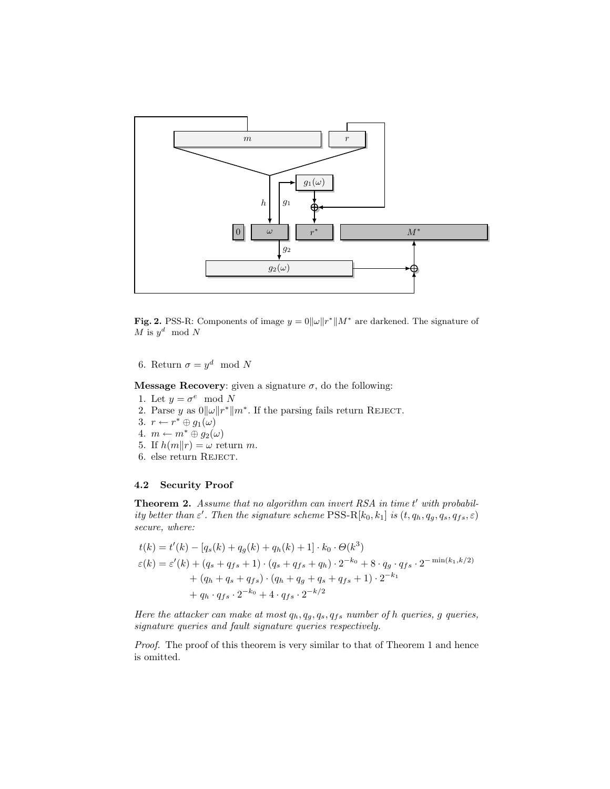

**Fig. 2.** PSS-R: Components of image  $y = 0 \|\omega\| r^* \| M^*$  are darkened. The signature of  $\overline{M}$  is  $y^d \mod N$ 

6. Return  $\sigma = y^d \mod N$ 

**Message Recovery:** given a signature  $\sigma$ , do the following:

- 1. Let  $y = \sigma^e \mod N$
- 2. Parse y as  $0||\omega||r^*||m^*$ . If the parsing fails return REJECT.
- 3.  $r \leftarrow r^* \oplus g_1(\omega)$
- 4.  $m \leftarrow m^* \oplus g_2(\omega)$
- 5. If  $h(m||r) = \omega$  return m.
- 6. else return REJECT.

## 4.2 Security Proof

Theorem 2. Assume that no algorithm can invert RSA in time t' with probabil*ity better than*  $\varepsilon'$ . Then the signature scheme PSS-R[ $k_0, k_1$ ] *is*  $(t, q_h, q_g, q_s, q_{fs}, \varepsilon)$ *secure, where:*

$$
t(k) = t'(k) - [q_s(k) + q_g(k) + q_h(k) + 1] \cdot k_0 \cdot \Theta(k^3)
$$
  
\n
$$
\varepsilon(k) = \varepsilon'(k) + (q_s + q_{fs} + 1) \cdot (q_s + q_{fs} + q_h) \cdot 2^{-k_0} + 8 \cdot q_g \cdot q_{fs} \cdot 2^{-\min(k_1, k/2)}
$$
  
\n
$$
+ (q_h + q_s + q_{fs}) \cdot (q_h + q_g + q_s + q_{fs} + 1) \cdot 2^{-k_1}
$$
  
\n
$$
+ q_h \cdot q_{fs} \cdot 2^{-k_0} + 4 \cdot q_{fs} \cdot 2^{-k/2}
$$

*Here the attacker can make at most*  $q_h, q_g, q_s, q_{fs}$  *number of*  $h$  *queries, g queries, signature queries and fault signature queries respectively.*

*Proof.* The proof of this theorem is very similar to that of Theorem 1 and hence is omitted.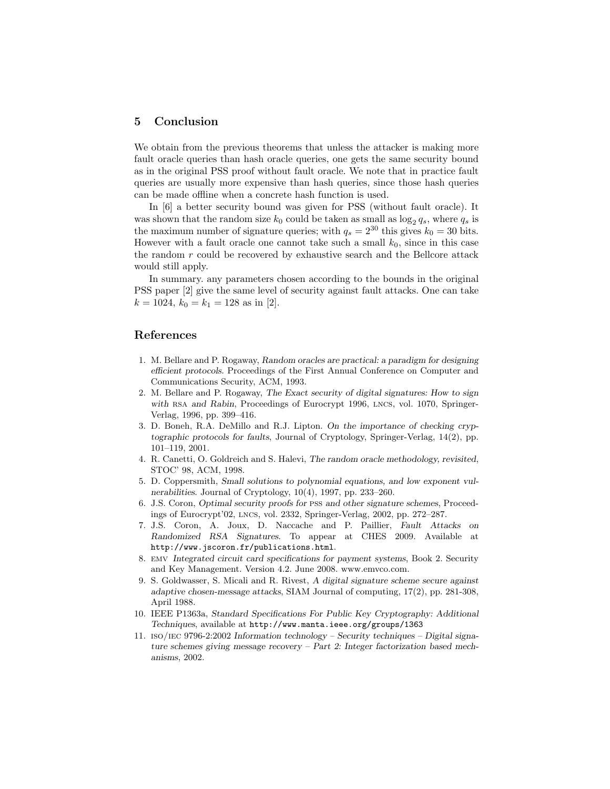## 5 Conclusion

We obtain from the previous theorems that unless the attacker is making more fault oracle queries than hash oracle queries, one gets the same security bound as in the original PSS proof without fault oracle. We note that in practice fault queries are usually more expensive than hash queries, since those hash queries can be made offline when a concrete hash function is used.

In [6] a better security bound was given for PSS (without fault oracle). It was shown that the random size  $k_0$  could be taken as small as  $\log_2 q_s$ , where  $q_s$  is the maximum number of signature queries; with  $q_s = 2^{30}$  this gives  $k_0 = 30$  bits. However with a fault oracle one cannot take such a small  $k_0$ , since in this case the random r could be recovered by exhaustive search and the Bellcore attack would still apply.

In summary. any parameters chosen according to the bounds in the original PSS paper [2] give the same level of security against fault attacks. One can take  $k = 1024, k_0 = k_1 = 128$  as in [2].

## References

- 1. M. Bellare and P. Rogaway, Random oracles are practical: a paradigm for designing efficient protocols. Proceedings of the First Annual Conference on Computer and Communications Security, ACM, 1993.
- 2. M. Bellare and P. Rogaway, The Exact security of digital signatures: How to sign with RSA and Rabin, Proceedings of Eurocrypt 1996, LNCS, vol. 1070, Springer-Verlag, 1996, pp. 399–416.
- 3. D. Boneh, R.A. DeMillo and R.J. Lipton. On the importance of checking cryptographic protocols for faults, Journal of Cryptology, Springer-Verlag, 14(2), pp. 101–119, 2001.
- 4. R. Canetti, O. Goldreich and S. Halevi, The random oracle methodology, revisited, STOC' 98, ACM, 1998.
- 5. D. Coppersmith, Small solutions to polynomial equations, and low exponent vulnerabilities. Journal of Cryptology, 10(4), 1997, pp. 233–260.
- 6. J.S. Coron, Optimal security proofs for pss and other signature schemes, Proceedings of Eurocrypt'02, lncs, vol. 2332, Springer-Verlag, 2002, pp. 272–287.
- 7. J.S. Coron, A. Joux, D. Naccache and P. Paillier, Fault Attacks on Randomized RSA Signatures. To appear at CHES 2009. Available at http://www.jscoron.fr/publications.html.
- 8. emv Integrated circuit card specifications for payment systems, Book 2. Security and Key Management. Version 4.2. June 2008. www.emvco.com.
- 9. S. Goldwasser, S. Micali and R. Rivest, A digital signature scheme secure against adaptive chosen-message attacks, SIAM Journal of computing, 17(2), pp. 281-308, April 1988.
- 10. IEEE P1363a, Standard Specifications For Public Key Cryptography: Additional Techniques, available at http://www.manta.ieee.org/groups/1363
- 11. iso/iec 9796-2:2002 Information technology Security techniques Digital signature schemes giving message recovery – Part 2: Integer factorization based mechanisms, 2002.